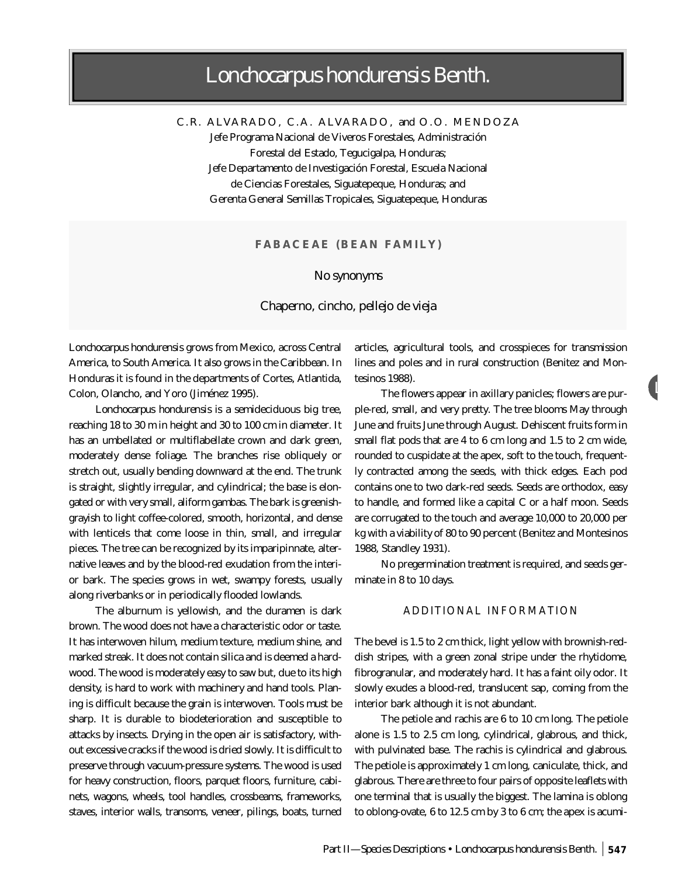# *Lonchocarpus hondurensis* Benth.

C.R. A LVARADO, C.A. A LVARADO, and O.O. MENDOZA Jefe Programa Nacional de Viveros Forestales, Administración Forestal del Estado, Tegucigalpa, Honduras; Jefe Departamento de Investigación Forestal, Escuela Nacional de Ciencias Forestales, Siguatepeque, Honduras; and Gerenta General Semillas Tropicales, Siguatepeque, Honduras

## **FABACEAE (BEAN FAMILY)**

#### *No synonyms*

#### Chaperno, cincho, pellejo de vieja

*Lonchocarpus hondurensis* grows from Mexico, across Central America, to South America. It also grows in the Caribbean. In Honduras it is found in the departments of Cortes, Atlantida, Colon, Olancho, and Yoro (Jiménez 1995).

*Lonchocarpus hondurensis* is a semideciduous big tree, reaching 18 to 30 m in height and 30 to 100 cm in diameter. It has an umbellated or multiflabellate crown and dark green, moderately dense foliage. The branches rise obliquely or stretch out, usually bending downward at the end. The trunk is straight, slightly irregular, and cylindrical; the base is elongated or with very small, aliform gambas. The bark is greenishgrayish to light coffee-colored, smooth, horizontal, and dense with lenticels that come loose in thin, small, and irregular pieces. The tree can be recognized by its imparipinnate, alternative leaves and by the blood-red exudation from the interior bark. The species grows in wet, swampy forests, usually along riverbanks or in periodically flooded lowlands.

The alburnum is yellowish, and the duramen is dark brown. The wood does not have a characteristic odor or taste. It has interwoven hilum, medium texture, medium shine, and marked streak. It does not contain silica and is deemed a hardwood. The wood is moderately easy to saw but, due to its high density, is hard to work with machinery and hand tools. Planing is difficult because the grain is interwoven. Tools must be sharp. It is durable to biodeterioration and susceptible to attacks by insects. Drying in the open air is satisfactory, without excessive cracks if the wood is dried slowly. It is difficult to preserve through vacuum-pressure systems. The wood is used for heavy construction, floors, parquet floors, furniture, cabinets, wagons, wheels, tool handles, crossbeams, frameworks, staves, interior walls, transoms, veneer, pilings, boats, turned

articles, agricultural tools, and crosspieces for transmission lines and poles and in rural construction (Benitez and Montesinos 1988).

L

The flowers appear in axillary panicles; flowers are purple-red, small, and very pretty. The tree blooms May through June and fruits June through August. Dehiscent fruits form in small flat pods that are 4 to 6 cm long and 1.5 to 2 cm wide, rounded to cuspidate at the apex, soft to the touch, frequently contracted among the seeds, with thick edges. Each pod contains one to two dark-red seeds. Seeds are orthodox, easy to handle, and formed like a capital C or a half moon. Seeds are corrugated to the touch and average 10,000 to 20,000 per kg with a viability of 80 to 90 percent (Benitez and Montesinos 1988, Standley 1931).

No pregermination treatment is required, and seeds germinate in 8 to 10 days.

### ADDITIONAL INFORMATION

The bevel is 1.5 to 2 cm thick, light yellow with brownish-reddish stripes, with a green zonal stripe under the rhytidome, fibrogranular, and moderately hard. It has a faint oily odor. It slowly exudes a blood-red, translucent sap, coming from the interior bark although it is not abundant.

The petiole and rachis are 6 to 10 cm long. The petiole alone is 1.5 to 2.5 cm long, cylindrical, glabrous, and thick, with pulvinated base. The rachis is cylindrical and glabrous. The petiole is approximately 1 cm long, caniculate, thick, and glabrous. There are three to four pairs of opposite leaflets with one terminal that is usually the biggest. The lamina is oblong to oblong-ovate, 6 to 12.5 cm by 3 to 6 cm; the apex is acumi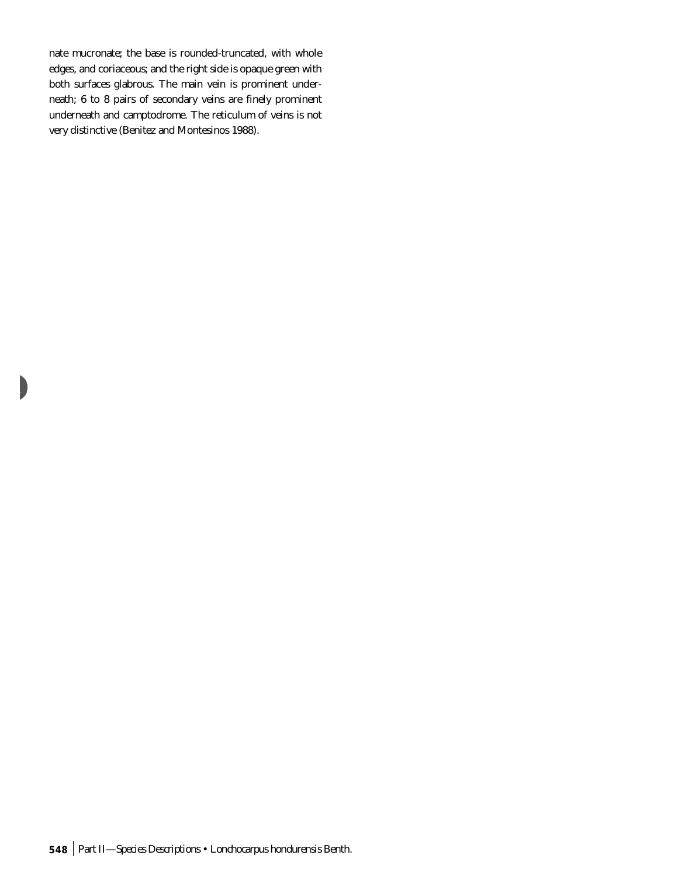nate mucronate; the base is rounded-truncated, with whole edges, and coriaceous; and the right side is opaque green with both surfaces glabrous. The main vein is prominent underneath; 6 to 8 pairs of secondary veins are finely prominent underneath and camptodrome. The reticulum of veins is not very distinctive (Benitez and Montesinos 1988).

L